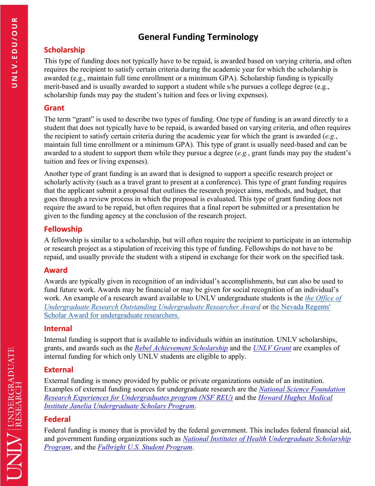# **General Funding Terminology**

## **Scholarship**

This type of funding does not typically have to be repaid, is awarded based on varying criteria, and often requires the recipient to satisfy certain criteria during the academic year for which the scholarship is awarded (e.g., maintain full time enrollment or a minimum GPA). Scholarship funding is typically merit-based and is usually awarded to support a student while s/he pursues a college degree (e.g., scholarship funds may pay the student's tuition and fees or living expenses).

#### **Grant**

The term "grant" is used to describe two types of funding. One type of funding is an award directly to a student that does not typically have to be repaid, is awarded based on varying criteria, and often requires the recipient to satisfy certain criteria during the academic year for which the grant is awarded (*e.g.*, maintain full time enrollment or a minimum GPA). This type of grant is usually need-based and can be awarded to a student to support them while they pursue a degree (*e.g.*, grant funds may pay the student's tuition and fees or living expenses).

Another type of grant funding is an award that is designed to support a specific research project or scholarly activity (such as a travel grant to present at a conference). This type of grant funding requires that the applicant submit a proposal that outlines the research project aims, methods, and budget, that goes through a review process in which the proposal is evaluated. This type of grant funding does not require the award to be repaid, but often requires that a final report be submitted or a presentation be given to the funding agency at the conclusion of the research project.

### **Fellowship**

A fellowship is similar to a scholarship, but will often require the recipient to participate in an internship or research project as a stipulation of receiving this type of funding. Fellowships do not have to be repaid, and usually provide the student with a stipend in exchange for their work on the specified task.

### **Award**

Awards are typically given in recognition of an individual's accomplishments, but can also be used to fund future work. Awards may be financial or may be given for social recognition of an individual's work. An example of a research award available to UNLV undergraduate students is the *[the Office of](https://www.unlv.edu/our/funding/oura)  [Undergraduate Research Outstanding Undergraduate Researcher Award](https://www.unlv.edu/our/funding/oura)* or [the Nevada Regents'](https://www.unlv.edu/our/funding/nevada-regents-scholar-award)  [Scholar Award for undergraduate researchers.](https://www.unlv.edu/our/funding/nevada-regents-scholar-award)

### **Internal**

Internal funding is support that is available to individuals within an institution. UNLV scholarships, grants, and awards such as the *[Rebel Achievement Scholarship](https://www.unlv.edu/finaid/scholarships/rebel-achievement)* and the *[UNLV Grant](http://www.unlv.edu/finaid/unlv-nevada-grants#grant-in-aid)* are examples of internal funding for which only UNLV students are eligible to apply.

## **External**

External funding is money provided by public or private organizations outside of an institution. Examples of external funding sources for undergraduate research are the *[National Science Foundation](https://www.nsf.gov/crssprgm/reu/)  [Research Experiences for Undergraduates program \(NSF REU\)](https://www.nsf.gov/crssprgm/reu/)* and the *[Howard Hughes Medical](https://www.janelia.org/you-janelia/students-postdocs/undergraduate-scholars-program)  [Institute Janelia Undergraduate Scholars Program](https://www.janelia.org/you-janelia/students-postdocs/undergraduate-scholars-program)*.

## **Federal**

Federal funding is money that is provided by the federal government. This includes federal financial aid, and government funding organizations such as *[National Institutes of Health Undergraduate Scholarship](https://www.training.nih.gov/programs/ugsp) [Program](https://www.training.nih.gov/programs/ugsp)*, and the *[Fulbright U.S. Student Program](http://internationalprograms.unlv.edu/fulbright.html)*.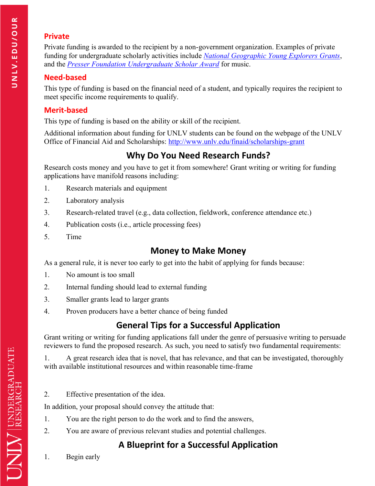## **Private**

Private funding is awarded to the recipient by a non-government organization. Examples of private funding for undergraduate scholarly activities include *[National Geographic Young Explorers Grants](http://www.nationalgeographic.com/explorers/grants-programs/young-explorers/)*, and the *[Presser Foundation Undergraduate Scholar Award](http://www.presserfoundation.org/?page_id=113)* for music.

## **Need-based**

This type of funding is based on the financial need of a student, and typically requires the recipient to meet specific income requirements to qualify.

## **Merit-based**

This type of funding is based on the ability or skill of the recipient.

Additional information about funding for UNLV students can be found on the webpage of the UNLV Office of Financial Aid and Scholarships: [http://www.unlv.edu/finaid/scholarships-grant](http://www.unlv.edu/finaid/scholarships-grants)

# **Why Do You Need Research Funds?**

Research costs money and you have to get it from somewhere! Grant writing or writing for funding applications have manifold reasons including:

- 1. Research materials and equipment
- 2. Laboratory analysis
- 3. Research-related travel (e.g., data collection, fieldwork, conference attendance etc.)
- 4. Publication costs (i.e., article processing fees)
- 5. Time

# **Money to Make Money**

As a general rule, it is never too early to get into the habit of applying for funds because:

- 1. No amount is too small
- 2. Internal funding should lead to external funding
- 3. Smaller grants lead to larger grants
- 4. Proven producers have a better chance of being funded

# **General Tips for a Successful Application**

Grant writing or writing for funding applications fall under the genre of persuasive writing to persuade reviewers to fund the proposed research. As such, you need to satisfy two fundamental requirements:

1. A great research idea that is novel, that has relevance, and that can be investigated, thoroughly with available institutional resources and within reasonable time-frame

2. Effective presentation of the idea.

In addition, your proposal should convey the attitude that:

- 1. You are the right person to do the work and to find the answers,
- 2. You are aware of previous relevant studies and potential challenges.

# **A Blueprint for a Successful Application**

1. Begin early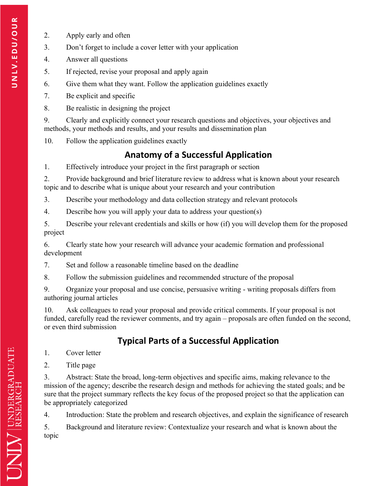- 2. Apply early and often
- 3. Don't forget to include a cover letter with your application
- 4. Answer all questions
- 5. If rejected, revise your proposal and apply again
- 6. Give them what they want. Follow the application guidelines exactly
- 7. Be explicit and specific
- 8. Be realistic in designing the project

9. Clearly and explicitly connect your research questions and objectives, your objectives and methods, your methods and results, and your results and dissemination plan

10. Follow the application guidelines exactly

# **Anatomy of a Successful Application**

1. Effectively introduce your project in the first paragraph or section

2. Provide background and brief literature review to address what is known about your research topic and to describe what is unique about your research and your contribution

3. Describe your methodology and data collection strategy and relevant protocols

4. Describe how you will apply your data to address your question(s)

5. Describe your relevant credentials and skills or how (if) you will develop them for the proposed project

6. Clearly state how your research will advance your academic formation and professional development

7. Set and follow a reasonable timeline based on the deadline

8. Follow the submission guidelines and recommended structure of the proposal

9. Organize your proposal and use concise, persuasive writing - writing proposals differs from authoring journal articles

10. Ask colleagues to read your proposal and provide critical comments. If your proposal is not funded, carefully read the reviewer comments, and try again – proposals are often funded on the second, or even third submission

# **Typical Parts of a Successful Application**

1. Cover letter

2. Title page

3. Abstract: State the broad, long-term objectives and specific aims, making relevance to the mission of the agency; describe the research design and methods for achieving the stated goals; and be sure that the project summary reflects the key focus of the proposed project so that the application can be appropriately categorized

4. Introduction: State the problem and research objectives, and explain the significance of research

5. Background and literature review: Contextualize your research and what is known about the topic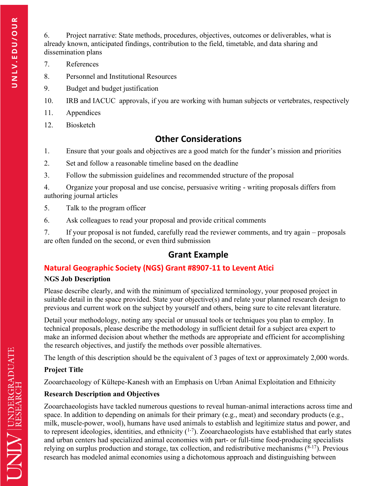6. Project narrative: State methods, procedures, objectives, outcomes or deliverables, what is already known, anticipated findings, contribution to the field, timetable, and data sharing and dissemination plans

- 7. References
- 8. Personnel and Institutional Resources
- 9. Budget and budget justification
- 10. IRB and IACUC approvals, if you are working with human subjects or vertebrates, respectively
- 11. Appendices
- 12. Biosketch

# **Other Considerations**

- 1. Ensure that your goals and objectives are a good match for the funder's mission and priorities
- 2. Set and follow a reasonable timeline based on the deadline
- 3. Follow the submission guidelines and recommended structure of the proposal

4. Organize your proposal and use concise, persuasive writing - writing proposals differs from authoring journal articles

- 5. Talk to the program officer
- 6. Ask colleagues to read your proposal and provide critical comments

7. If your proposal is not funded, carefully read the reviewer comments, and try again – proposals are often funded on the second, or even third submission

# **Grant Example**

# **Natural Geographic Society (NGS) Grant #8907-11 to Levent Atici**

### **NGS Job Description**

Please describe clearly, and with the minimum of specialized terminology, your proposed project in suitable detail in the space provided. State your objective(s) and relate your planned research design to previous and current work on the subject by yourself and others, being sure to cite relevant literature.

Detail your methodology, noting any special or unusual tools or techniques you plan to employ. In technical proposals, please describe the methodology in sufficient detail for a subject area expert to make an informed decision about whether the methods are appropriate and efficient for accomplishing the research objectives, and justify the methods over possible alternatives.

The length of this description should be the equivalent of 3 pages of text or approximately 2,000 words.

## **Project Title**

Zooarchaeology of Kültepe-Kanesh with an Emphasis on Urban Animal Exploitation and Ethnicity

## **Research Description and Objectives**

Zooarchaeologists have tackled numerous questions to reveal human-animal interactions across time and space. In addition to depending on animals for their primary (e.g., meat) and secondary products (e.g., milk, muscle-power, wool), humans have used animals to establish and legitimize status and power, and to represent ideologies, identities, and ethnicity  $(1-7)$ . Zooarchaeologists have established that early states and urban centers had specialized animal economies with part- or full-time food-producing specialists relying on surplus production and storage, tax collection, and redistributive mechanisms  $(^{8-17})$ . Previous research has modeled animal economies using a dichotomous approach and distinguishing between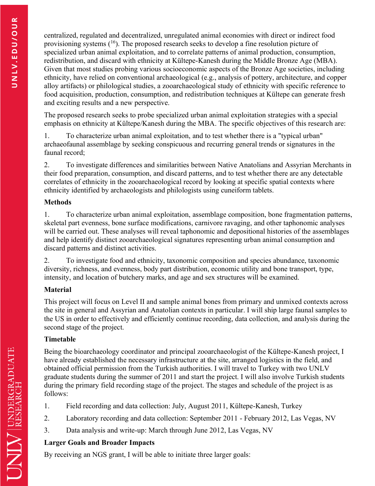centralized, regulated and decentralized, unregulated animal economies with direct or indirect food provisioning systems  $(16)$ . The proposed research seeks to develop a fine resolution picture of specialized urban animal exploitation, and to correlate patterns of animal production, consumption, redistribution, and discard with ethnicity at Kültepe-Kanesh during the Middle Bronze Age (MBA). Given that most studies probing various socioeconomic aspects of the Bronze Age societies, including ethnicity, have relied on conventional archaeological (e.g., analysis of pottery, architecture, and copper alloy artifacts) or philological studies, a zooarchaeological study of ethnicity with specific reference to food acquisition, production, consumption, and redistribution techniques at Kültepe can generate fresh and exciting results and a new perspective.

The proposed research seeks to probe specialized urban animal exploitation strategies with a special emphasis on ethnicity at Kültepe/Kanesh during the MBA. The specific objectives of this research are:

1. To characterize urban animal exploitation, and to test whether there is a "typical urban" archaeofaunal assemblage by seeking conspicuous and recurring general trends or signatures in the faunal record;

2. To investigate differences and similarities between Native Anatolians and Assyrian Merchants in their food preparation, consumption, and discard patterns, and to test whether there are any detectable correlates of ethnicity in the zooarchaeological record by looking at specific spatial contexts where ethnicity identified by archaeologists and philologists using cuneiform tablets.

#### **Methods**

1. To characterize urban animal exploitation, assemblage composition, bone fragmentation patterns, skeletal part evenness, bone surface modifications, carnivore ravaging, and other taphonomic analyses will be carried out. These analyses will reveal taphonomic and depositional histories of the assemblages and help identify distinct zooarchaeological signatures representing urban animal consumption and discard patterns and distinct activities.

2. To investigate food and ethnicity, taxonomic composition and species abundance, taxonomic diversity, richness, and evenness, body part distribution, economic utility and bone transport, type, intensity, and location of butchery marks, and age and sex structures will be examined.

#### **Material**

This project will focus on Level II and sample animal bones from primary and unmixed contexts across the site in general and Assyrian and Anatolian contexts in particular. I will ship large faunal samples to the US in order to effectively and efficiently continue recording, data collection, and analysis during the second stage of the project.

#### **Timetable**

Being the bioarchaeology coordinator and principal zooarchaeologist of the Kültepe-Kanesh project, I have already established the necessary infrastructure at the site, arranged logistics in the field, and obtained official permission from the Turkish authorities. I will travel to Turkey with two UNLV graduate students during the summer of 2011 and start the project. I will also involve Turkish students during the primary field recording stage of the project. The stages and schedule of the project is as follows:

- 1. Field recording and data collection: July, August 2011, Kültepe-Kanesh, Turkey
- 2. Laboratory recording and data collection: September 2011 February 2012, Las Vegas, NV
- 3. Data analysis and write-up: March through June 2012, Las Vegas, NV

### **Larger Goals and Broader Impacts**

By receiving an NGS grant, I will be able to initiate three larger goals: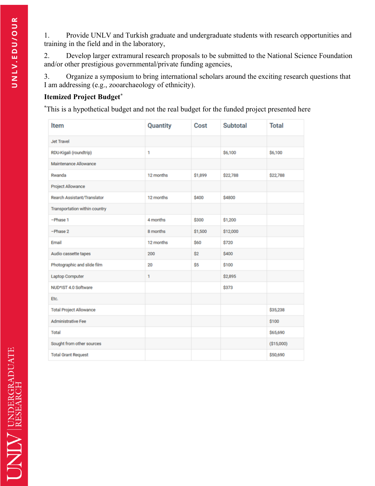1. Provide UNLV and Turkish graduate and undergraduate students with research opportunities and training in the field and in the laboratory,

2. Develop larger extramural research proposals to be submitted to the National Science Foundation and/or other prestigious governmental/private funding agencies,

3. Organize a symposium to bring international scholars around the exciting research questions that I am addressing (e.g., zooarchaeology of ethnicity).

#### **Itemized Project Budget\***

**\***This is a hypothetical budget and not the real budget for the funded project presented here

| Item                           | Quantity  | Cost    | <b>Subtotal</b> | <b>Total</b> |
|--------------------------------|-----------|---------|-----------------|--------------|
| <b>Jet Travel</b>              |           |         |                 |              |
| RDU-Kigali (roundtrip)         | 1         |         | \$6,100         | \$6,100      |
| Maintenance Allowance          |           |         |                 |              |
| Rwanda                         | 12 months | \$1,899 | \$22,788        | \$22,788     |
| Project Allowance              |           |         |                 |              |
| Rearch Assistant/Translator    | 12 months | \$400   | \$4800          |              |
| Transportation within country  |           |         |                 |              |
| -Phase 1                       | 4 months  | \$300   | \$1,200         |              |
| $-Phase2$                      | 8 months  | \$1,500 | \$12,000        |              |
| Email                          | 12 months | \$60    | \$720           |              |
| Audio cassette tapes           | 200       | \$2     | \$400           |              |
| Photographic and slide film    | 20        | \$5     | \$100           |              |
| <b>Laptop Computer</b>         | 1         |         | \$2,895         |              |
| NUD*IST 4.0 Software           |           |         | \$373           |              |
| Etc.                           |           |         |                 |              |
| <b>Total Project Allowance</b> |           |         |                 | \$35,238     |
| <b>Administrative Fee</b>      |           |         |                 | \$100        |
| <b>Total</b>                   |           |         |                 | \$65,690     |
| Sought from other sources      |           |         |                 | (\$15,000)   |
| <b>Total Grant Request</b>     |           |         |                 | \$50,690     |